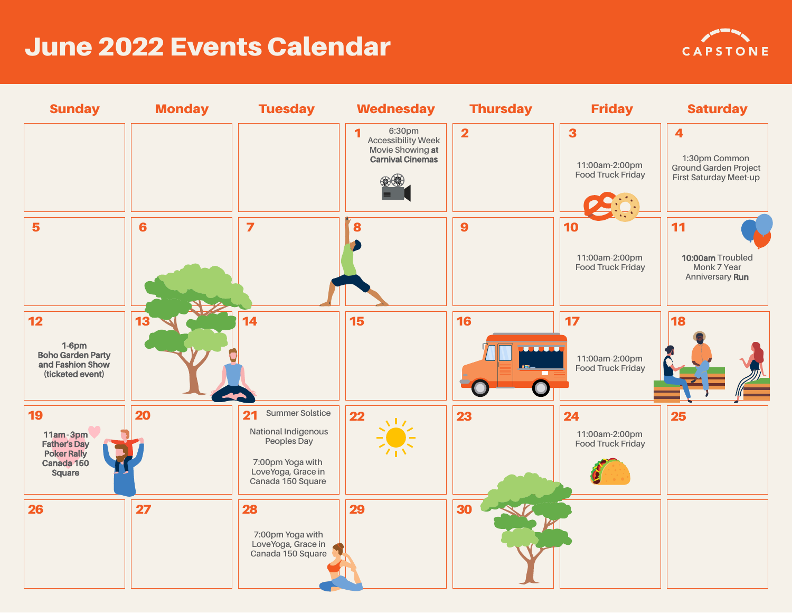## June 2022 Events Calendar